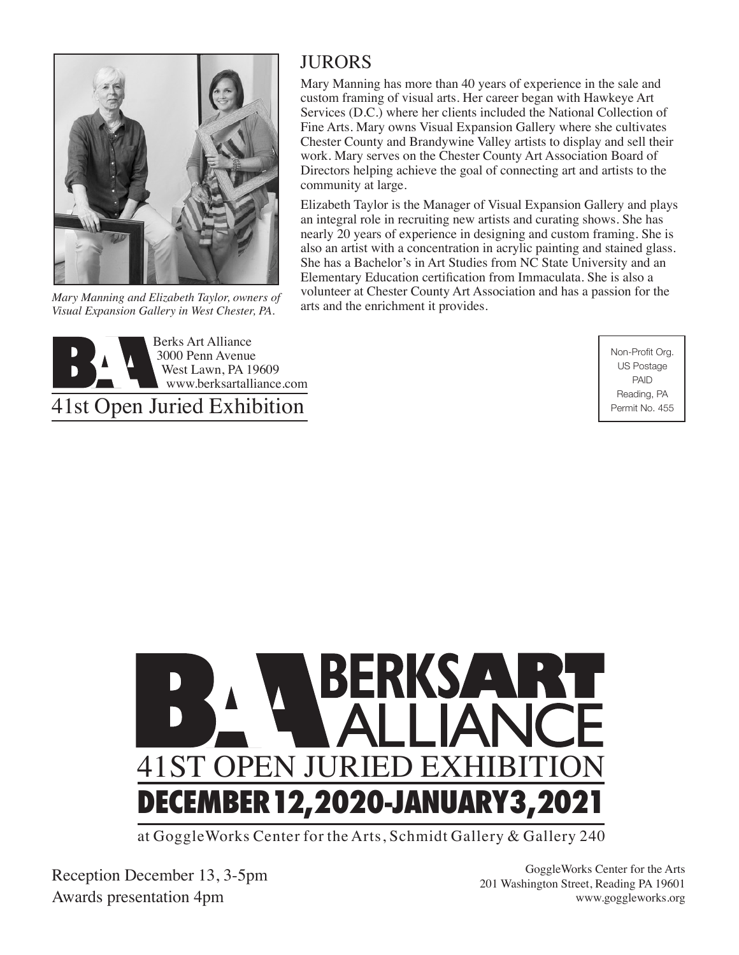

*Mary Manning and Elizabeth Taylor, owners of Visual Expansion Gallery in West Chester, PA.*



## 41st Open Juried Exhibition

#### **JURORS**

Mary Manning has more than 40 years of experience in the sale and custom framing of visual arts. Her career began with Hawkeye Art Services (D.C.) where her clients included the National Collection of Fine Arts. Mary owns Visual Expansion Gallery where she cultivates Chester County and Brandywine Valley artists to display and sell their work. Mary serves on the Chester County Art Association Board of Directors helping achieve the goal of connecting art and artists to the community at large.

Elizabeth Taylor is the Manager of Visual Expansion Gallery and plays an integral role in recruiting new artists and curating shows. She has nearly 20 years of experience in designing and custom framing. She is also an artist with a concentration in acrylic painting and stained glass. She has a Bachelor's in Art Studies from NC State University and an Elementary Education certification from Immaculata. She is also a volunteer at Chester County Art Association and has a passion for the arts and the enrichment it provides.

> Non-Profit Org. US Postage PAID Reading, PA Permit No. 455



at GoggleWorks Center for the Arts, Schmidt Gallery & Gallery 240

Reception December 13, 3-5pm Awards presentation 4pm

GoggleWorks Center for the Arts 201 Washington Street, Reading PA 19601 www.goggleworks.org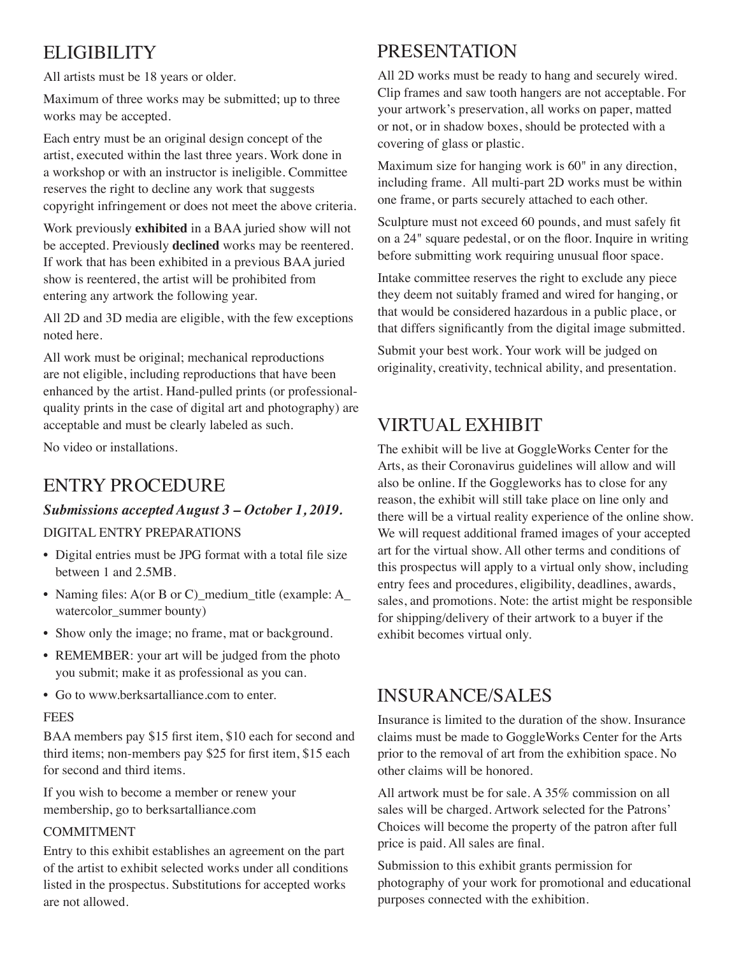## **ELIGIBILITY**

All artists must be 18 years or older.

Maximum of three works may be submitted; up to three works may be accepted.

Each entry must be an original design concept of the artist, executed within the last three years. Work done in a workshop or with an instructor is ineligible. Committee reserves the right to decline any work that suggests copyright infringement or does not meet the above criteria.

Work previously **exhibited** in a BAA juried show will not be accepted. Previously **declined** works may be reentered. If work that has been exhibited in a previous BAA juried show is reentered, the artist will be prohibited from entering any artwork the following year.

All 2D and 3D media are eligible, with the few exceptions noted here.

All work must be original; mechanical reproductions are not eligible, including reproductions that have been enhanced by the artist. Hand-pulled prints (or professionalquality prints in the case of digital art and photography) are acceptable and must be clearly labeled as such.

No video or installations.

## ENTRY PROCEDURE

#### *Submissions accepted August 3 – October 1, 2019.*

#### DIGITAL ENTRY PREPARATIONS

- Digital entries must be JPG format with a total file size between 1 and 2.5MB.
- Naming files: A(or B or C)\_medium\_title (example: A\_ watercolor\_summer bounty)
- Show only the image; no frame, mat or background.
- REMEMBER: your art will be judged from the photo you submit; make it as professional as you can.
- Go to www.berksartalliance.com to enter.

#### **FEES**

BAA members pay \$15 first item, \$10 each for second and third items; non-members pay \$25 for first item, \$15 each for second and third items.

If you wish to become a member or renew your membership, go to berksartalliance.com

#### COMMITMENT

Entry to this exhibit establishes an agreement on the part of the artist to exhibit selected works under all conditions listed in the prospectus. Substitutions for accepted works are not allowed.

## **PRESENTATION**

All 2D works must be ready to hang and securely wired. Clip frames and saw tooth hangers are not acceptable. For your artwork's preservation, all works on paper, matted or not, or in shadow boxes, should be protected with a covering of glass or plastic.

Maximum size for hanging work is 60" in any direction, including frame. All multi-part 2D works must be within one frame, or parts securely attached to each other.

Sculpture must not exceed 60 pounds, and must safely fit on a 24" square pedestal, or on the floor. Inquire in writing before submitting work requiring unusual floor space.

Intake committee reserves the right to exclude any piece they deem not suitably framed and wired for hanging, or that would be considered hazardous in a public place, or that differs significantly from the digital image submitted.

Submit your best work. Your work will be judged on originality, creativity, technical ability, and presentation.

## VIRTUAL EXHIBIT

The exhibit will be live at GoggleWorks Center for the Arts, as their Coronavirus guidelines will allow and will also be online. If the Goggleworks has to close for any reason, the exhibit will still take place on line only and there will be a virtual reality experience of the online show. We will request additional framed images of your accepted art for the virtual show. All other terms and conditions of this prospectus will apply to a virtual only show, including entry fees and procedures, eligibility, deadlines, awards, sales, and promotions. Note: the artist might be responsible for shipping/delivery of their artwork to a buyer if the exhibit becomes virtual only.

### INSURANCE/SALES

Insurance is limited to the duration of the show. Insurance claims must be made to GoggleWorks Center for the Arts prior to the removal of art from the exhibition space. No other claims will be honored.

All artwork must be for sale. A 35% commission on all sales will be charged. Artwork selected for the Patrons' Choices will become the property of the patron after full price is paid. All sales are final.

Submission to this exhibit grants permission for photography of your work for promotional and educational purposes connected with the exhibition.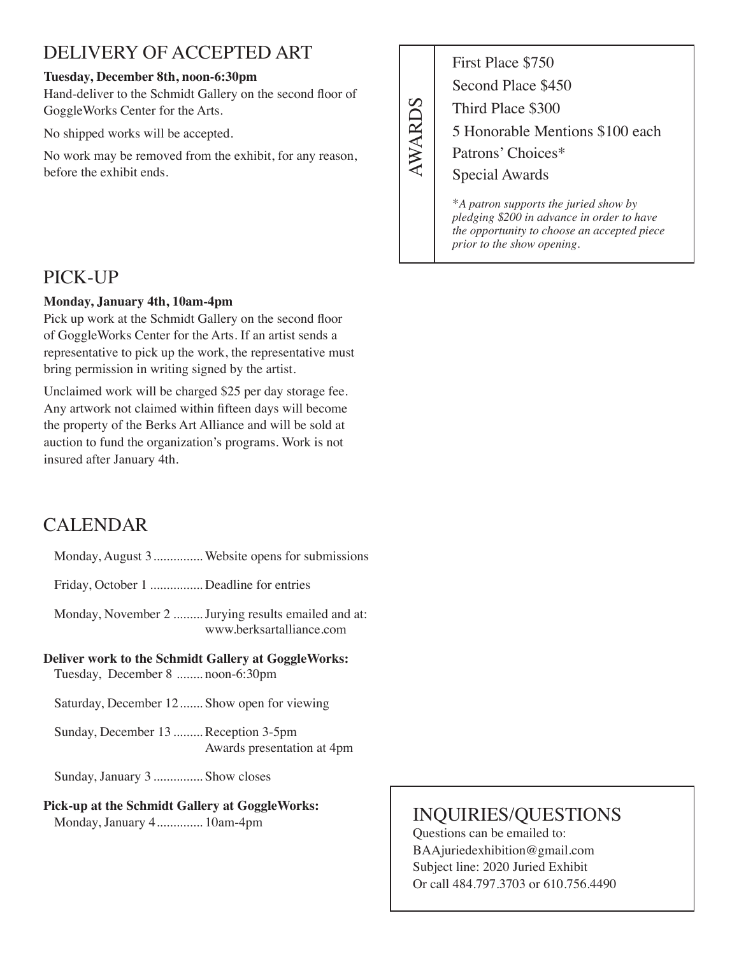### DELIVERY OF ACCEPTED ART

#### **Tuesday, December 8th, noon-6:30pm**

Hand-deliver to the Schmidt Gallery on the second floor of GoggleWorks Center for the Arts.

No shipped works will be accepted.

No work may be removed from the exhibit, for any reason, before the exhibit ends.

First Place \$750 **AWARDS** AWARDS

Second Place \$450 Third Place \$300 5 Honorable Mentions \$100 each Patrons' Choices\*

Special Awards 

\**A patron supports the juried show by pledging \$200 in advance in order to have the opportunity to choose an accepted piece prior to the show opening.*

### PICK-UP

#### **Monday, January 4th, 10am-4pm**

Pick up work at the Schmidt Gallery on the second floor of GoggleWorks Center for the Arts. If an artist sends a representative to pick up the work, the representative must bring permission in writing signed by the artist.

Unclaimed work will be charged \$25 per day storage fee. Any artwork not claimed within fifteen days will become the property of the Berks Art Alliance and will be sold at auction to fund the organization's programs. Work is not insured after January 4th.

## CALENDAR

- Monday, August 3............... Website opens for submissions
- Friday, October 1 ................ Deadline for entries

Monday, November 2 .........Jurying results emailed and at: www.berksartalliance.com

#### **Deliver work to the Schmidt Gallery at GoggleWorks:**

Tuesday, December 8 ........ noon-6:30pm

Saturday, December 12....... Show open for viewing

Sunday, December 13 ......... Reception 3-5pm Awards presentation at 4pm

Sunday, January 3 ............... Show closes

### **Pick-up at the Schmidt Gallery at GoggleWorks:**

Monday, January 4.............. 10am-4pm

## INQUIRIES/QUESTIONS

Questions can be emailed to: BAAjuriedexhibition@gmail.com Subject line: 2020 Juried Exhibit Or call 484.797.3703 or 610.756.4490